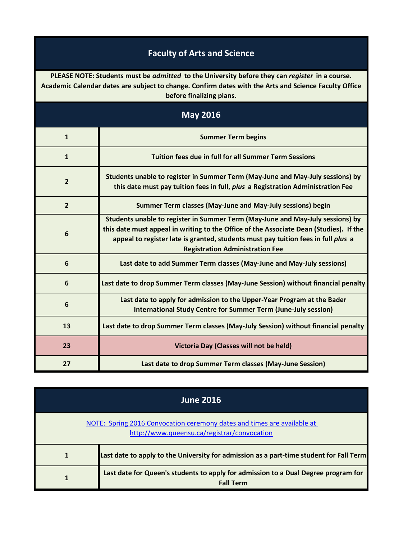## **Faculty of Arts and Science**

**PLEASE NOTE: Students must be** *admitted* **to the University before they can** *register* **in a course. Academic Calendar dates are subject to change. Confirm dates with the Arts and Science Faculty Office before finalizing plans.**

| <b>May 2016</b> |                                                                                                                                                                                                                                                                                                         |
|-----------------|---------------------------------------------------------------------------------------------------------------------------------------------------------------------------------------------------------------------------------------------------------------------------------------------------------|
| $\mathbf{1}$    | <b>Summer Term begins</b>                                                                                                                                                                                                                                                                               |
| $\mathbf{1}$    | <b>Tuition fees due in full for all Summer Term Sessions</b>                                                                                                                                                                                                                                            |
| $\overline{2}$  | Students unable to register in Summer Term (May-June and May-July sessions) by<br>this date must pay tuition fees in full, plus a Registration Administration Fee                                                                                                                                       |
| $\overline{2}$  | Summer Term classes (May-June and May-July sessions) begin                                                                                                                                                                                                                                              |
| $6\phantom{1}6$ | Students unable to register in Summer Term (May-June and May-July sessions) by<br>this date must appeal in writing to the Office of the Associate Dean (Studies). If the<br>appeal to register late is granted, students must pay tuition fees in full plus a<br><b>Registration Administration Fee</b> |
| 6               | Last date to add Summer Term classes (May-June and May-July sessions)                                                                                                                                                                                                                                   |
| 6               | Last date to drop Summer Term classes (May-June Session) without financial penalty                                                                                                                                                                                                                      |
| 6               | Last date to apply for admission to the Upper-Year Program at the Bader<br><b>International Study Centre for Summer Term (June-July session)</b>                                                                                                                                                        |
| 13              | Last date to drop Summer Term classes (May-July Session) without financial penalty                                                                                                                                                                                                                      |
| 23              | Victoria Day (Classes will not be held)                                                                                                                                                                                                                                                                 |
| 27              | Last date to drop Summer Term classes (May-June Session)                                                                                                                                                                                                                                                |

| <b>June 2016</b>                                                                                                       |                                                                                                        |
|------------------------------------------------------------------------------------------------------------------------|--------------------------------------------------------------------------------------------------------|
| NOTE: Spring 2016 Convocation ceremony dates and times are available at<br>http://www.queensu.ca/registrar/convocation |                                                                                                        |
|                                                                                                                        | Last date to apply to the University for admission as a part-time student for Fall Term                |
|                                                                                                                        | Last date for Queen's students to apply for admission to a Dual Degree program for<br><b>Fall Term</b> |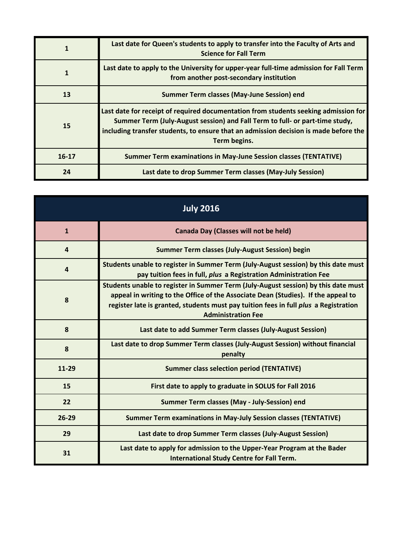| 1         | Last date for Queen's students to apply to transfer into the Faculty of Arts and<br><b>Science for Fall Term</b>                                                                                                                                                            |
|-----------|-----------------------------------------------------------------------------------------------------------------------------------------------------------------------------------------------------------------------------------------------------------------------------|
|           | Last date to apply to the University for upper-year full-time admission for Fall Term<br>from another post-secondary institution                                                                                                                                            |
| 13        | Summer Term classes (May-June Session) end                                                                                                                                                                                                                                  |
| 15        | Last date for receipt of required documentation from students seeking admission for<br>Summer Term (July-August session) and Fall Term to full- or part-time study,<br>including transfer students, to ensure that an admission decision is made before the<br>Term begins. |
| $16 - 17$ | <b>Summer Term examinations in May-June Session classes (TENTATIVE)</b>                                                                                                                                                                                                     |
| 24        | Last date to drop Summer Term classes (May-July Session)                                                                                                                                                                                                                    |

| <b>July 2016</b>        |                                                                                                                                                                                                                                                                                              |
|-------------------------|----------------------------------------------------------------------------------------------------------------------------------------------------------------------------------------------------------------------------------------------------------------------------------------------|
| $\mathbf{1}$            | <b>Canada Day (Classes will not be held)</b>                                                                                                                                                                                                                                                 |
| $\overline{a}$          | <b>Summer Term classes (July-August Session) begin</b>                                                                                                                                                                                                                                       |
| $\overline{\mathbf{4}}$ | Students unable to register in Summer Term (July-August session) by this date must<br>pay tuition fees in full, plus a Registration Administration Fee                                                                                                                                       |
| 8                       | Students unable to register in Summer Term (July-August session) by this date must<br>appeal in writing to the Office of the Associate Dean (Studies). If the appeal to<br>register late is granted, students must pay tuition fees in full plus a Registration<br><b>Administration Fee</b> |
| 8                       | Last date to add Summer Term classes (July-August Session)                                                                                                                                                                                                                                   |
| 8                       | Last date to drop Summer Term classes (July-August Session) without financial<br>penalty                                                                                                                                                                                                     |
| 11-29                   | <b>Summer class selection period (TENTATIVE)</b>                                                                                                                                                                                                                                             |
| 15                      | First date to apply to graduate in SOLUS for Fall 2016                                                                                                                                                                                                                                       |
| 22                      | Summer Term classes (May - July-Session) end                                                                                                                                                                                                                                                 |
| $26 - 29$               | <b>Summer Term examinations in May-July Session classes (TENTATIVE)</b>                                                                                                                                                                                                                      |
| 29                      | Last date to drop Summer Term classes (July-August Session)                                                                                                                                                                                                                                  |
| 31                      | Last date to apply for admission to the Upper-Year Program at the Bader<br><b>International Study Centre for Fall Term.</b>                                                                                                                                                                  |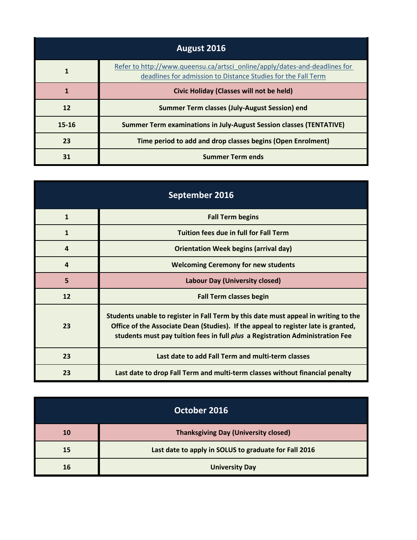| August 2016 |                                                                                                                                             |
|-------------|---------------------------------------------------------------------------------------------------------------------------------------------|
|             | Refer to http://www.queensu.ca/artsci_online/apply/dates-and-deadlines for<br>deadlines for admission to Distance Studies for the Fall Term |
|             | <b>Civic Holiday (Classes will not be held)</b>                                                                                             |
| 12          | Summer Term classes (July-August Session) end                                                                                               |
| $15 - 16$   | Summer Term examinations in July-August Session classes (TENTATIVE)                                                                         |
| 23          | Time period to add and drop classes begins (Open Enrolment)                                                                                 |
| 31          | <b>Summer Term ends</b>                                                                                                                     |

| September 2016   |                                                                                                                                                                                                                                                                   |
|------------------|-------------------------------------------------------------------------------------------------------------------------------------------------------------------------------------------------------------------------------------------------------------------|
| $\mathbf{1}$     | <b>Fall Term begins</b>                                                                                                                                                                                                                                           |
| $\mathbf{1}$     | <b>Tuition fees due in full for Fall Term</b>                                                                                                                                                                                                                     |
| $\boldsymbol{4}$ | <b>Orientation Week begins (arrival day)</b>                                                                                                                                                                                                                      |
| $\boldsymbol{4}$ | <b>Welcoming Ceremony for new students</b>                                                                                                                                                                                                                        |
| 5                | <b>Labour Day (University closed)</b>                                                                                                                                                                                                                             |
| 12               | <b>Fall Term classes begin</b>                                                                                                                                                                                                                                    |
| 23               | Students unable to register in Fall Term by this date must appeal in writing to the<br>Office of the Associate Dean (Studies). If the appeal to register late is granted,<br>students must pay tuition fees in full <i>plus</i> a Registration Administration Fee |
| 23               | Last date to add Fall Term and multi-term classes                                                                                                                                                                                                                 |
| 23               | Last date to drop Fall Term and multi-term classes without financial penalty                                                                                                                                                                                      |

| October 2016 |                                                       |
|--------------|-------------------------------------------------------|
| 10           | <b>Thanksgiving Day (University closed)</b>           |
| 15           | Last date to apply in SOLUS to graduate for Fall 2016 |
| 16           | <b>University Day</b>                                 |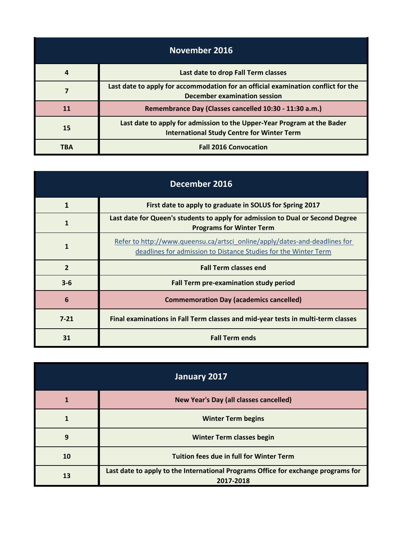| November 2016 |                                                                                                                              |
|---------------|------------------------------------------------------------------------------------------------------------------------------|
| 4             | Last date to drop Fall Term classes                                                                                          |
|               | Last date to apply for accommodation for an official examination conflict for the<br>December examination session            |
| 11            | Remembrance Day (Classes cancelled 10:30 - 11:30 a.m.)                                                                       |
| <b>15</b>     | Last date to apply for admission to the Upper-Year Program at the Bader<br><b>International Study Centre for Winter Term</b> |
| <b>TBA</b>    | <b>Fall 2016 Convocation</b>                                                                                                 |

| December 2016  |                                                                                                                                               |
|----------------|-----------------------------------------------------------------------------------------------------------------------------------------------|
| $\mathbf{1}$   | First date to apply to graduate in SOLUS for Spring 2017                                                                                      |
| $\mathbf{1}$   | Last date for Queen's students to apply for admission to Dual or Second Degree<br><b>Programs for Winter Term</b>                             |
| $\mathbf{1}$   | Refer to http://www.queensu.ca/artsci_online/apply/dates-and-deadlines for<br>deadlines for admission to Distance Studies for the Winter Term |
| $\overline{2}$ | <b>Fall Term classes end</b>                                                                                                                  |
| $3 - 6$        | Fall Term pre-examination study period                                                                                                        |
| 6              | <b>Commemoration Day (academics cancelled)</b>                                                                                                |
| $7 - 21$       | Final examinations in Fall Term classes and mid-year tests in multi-term classes                                                              |
| 31             | <b>Fall Term ends</b>                                                                                                                         |

| January 2017 |                                                                                                |
|--------------|------------------------------------------------------------------------------------------------|
|              | New Year's Day (all classes cancelled)                                                         |
|              | <b>Winter Term begins</b>                                                                      |
| 9            | <b>Winter Term classes begin</b>                                                               |
| 10           | <b>Tuition fees due in full for Winter Term</b>                                                |
| 13           | Last date to apply to the International Programs Office for exchange programs for<br>2017-2018 |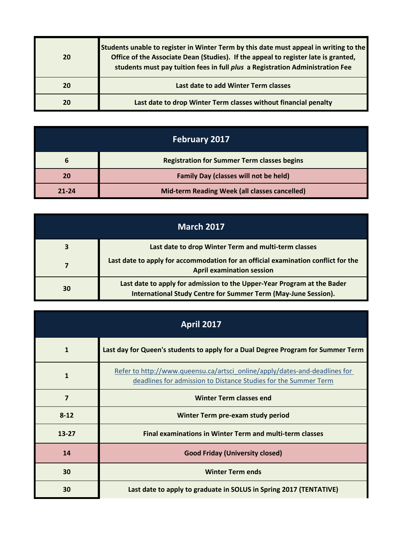| 20 | Students unable to register in Winter Term by this date must appeal in writing to the<br>Office of the Associate Dean (Studies). If the appeal to register late is granted,<br>students must pay tuition fees in full plus a Registration Administration Fee |
|----|--------------------------------------------------------------------------------------------------------------------------------------------------------------------------------------------------------------------------------------------------------------|
| 20 | Last date to add Winter Term classes                                                                                                                                                                                                                         |
| 20 | Last date to drop Winter Term classes without financial penalty                                                                                                                                                                                              |

| <b>February 2017</b> |                                                    |
|----------------------|----------------------------------------------------|
|                      | <b>Registration for Summer Term classes begins</b> |
|                      | <b>Family Day (classes will not be held)</b>       |
| $21 - 24$            | Mid-term Reading Week (all classes cancelled)      |

| <b>March 2017</b> |                                                                                                                                           |
|-------------------|-------------------------------------------------------------------------------------------------------------------------------------------|
|                   | Last date to drop Winter Term and multi-term classes                                                                                      |
|                   | Last date to apply for accommodation for an official examination conflict for the<br><b>April examination session</b>                     |
| 30                | Last date to apply for admission to the Upper-Year Program at the Bader<br>International Study Centre for Summer Term (May-June Session). |

| <b>April 2017</b> |                                                                                                                                               |
|-------------------|-----------------------------------------------------------------------------------------------------------------------------------------------|
| $\mathbf{1}$      | Last day for Queen's students to apply for a Dual Degree Program for Summer Term                                                              |
| $\mathbf{1}$      | Refer to http://www.queensu.ca/artsci_online/apply/dates-and-deadlines for<br>deadlines for admission to Distance Studies for the Summer Term |
| 7                 | <b>Winter Term classes end</b>                                                                                                                |
| $8 - 12$          | Winter Term pre-exam study period                                                                                                             |
| $13 - 27$         | <b>Final examinations in Winter Term and multi-term classes</b>                                                                               |
| 14                | <b>Good Friday (University closed)</b>                                                                                                        |
| 30                | <b>Winter Term ends</b>                                                                                                                       |
| 30                | Last date to apply to graduate in SOLUS in Spring 2017 (TENTATIVE)                                                                            |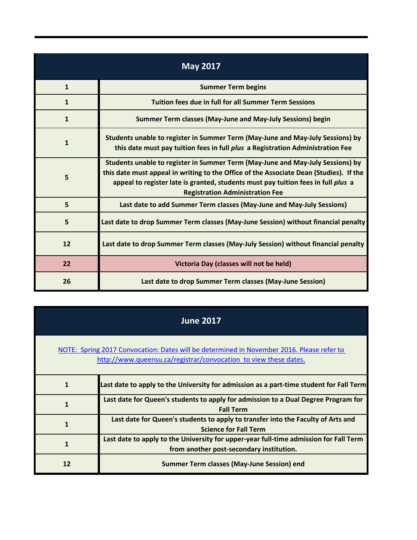| <b>May 2017</b> |                                                                                                                                                                                                                                                                                                         |
|-----------------|---------------------------------------------------------------------------------------------------------------------------------------------------------------------------------------------------------------------------------------------------------------------------------------------------------|
| $\mathbf{1}$    | <b>Summer Term begins</b>                                                                                                                                                                                                                                                                               |
| $\mathbf{1}$    | <b>Tuition fees due in full for all Summer Term Sessions</b>                                                                                                                                                                                                                                            |
| $\mathbf{1}$    | Summer Term classes (May-June and May-July Sessions) begin                                                                                                                                                                                                                                              |
| $\mathbf{1}$    | Students unable to register in Summer Term (May-June and May-July Sessions) by<br>this date must pay tuition fees in full plus a Registration Administration Fee                                                                                                                                        |
| 5               | Students unable to register in Summer Term (May-June and May-July Sessions) by<br>this date must appeal in writing to the Office of the Associate Dean (Studies). If the<br>appeal to register late is granted, students must pay tuition fees in full plus a<br><b>Registration Administration Fee</b> |
| 5               | Last date to add Summer Term classes (May-June and May-July Sessions)                                                                                                                                                                                                                                   |
| 5               | Last date to drop Summer Term classes (May-June Session) without financial penalty                                                                                                                                                                                                                      |
| 12              | Last date to drop Summer Term classes (May-July Session) without financial penalty                                                                                                                                                                                                                      |
| 22              | Victoria Day (classes will not be held)                                                                                                                                                                                                                                                                 |
| 26              | Last date to drop Summer Term classes (May-June Session)                                                                                                                                                                                                                                                |

| <b>June 2017</b> |
|------------------|
|------------------|

## [NOTE: Spring 2017 Convocation: Dates will be determined in November 2016. Please refer to](http://www.queensu.ca/registrar/convocation)  [h](http://www.queensu.ca/registrar/convocation)ttp://www.queensu.ca/registrar/convocation to view these dates.

| Last date to apply to the University for admission as a part-time student for Fall Term                                           |
|-----------------------------------------------------------------------------------------------------------------------------------|
| Last date for Queen's students to apply for admission to a Dual Degree Program for<br><b>Fall Term</b>                            |
| Last date for Queen's students to apply to transfer into the Faculty of Arts and<br><b>Science for Fall Term</b>                  |
| Last date to apply to the University for upper-year full-time admission for Fall Term<br>from another post-secondary institution. |
| Summer Term classes (May-June Session) end                                                                                        |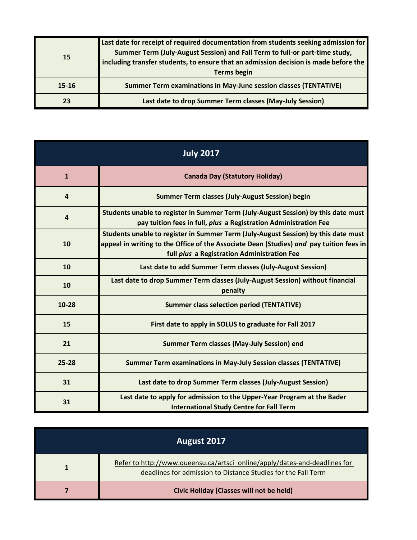| <b>15</b> | Last date for receipt of required documentation from students seeking admission for<br>Summer Term (July-August Session) and Fall Term to full-or part-time study,<br>including transfer students, to ensure that an admission decision is made before the<br><b>Terms begin</b> |
|-----------|----------------------------------------------------------------------------------------------------------------------------------------------------------------------------------------------------------------------------------------------------------------------------------|
| 15-16     | <b>Summer Term examinations in May-June session classes (TENTATIVE)</b>                                                                                                                                                                                                          |
| 23        | Last date to drop Summer Term classes (May-July Session)                                                                                                                                                                                                                         |

| <b>July 2017</b> |                                                                                                                                                                                                                              |
|------------------|------------------------------------------------------------------------------------------------------------------------------------------------------------------------------------------------------------------------------|
| $\mathbf{1}$     | <b>Canada Day (Statutory Holiday)</b>                                                                                                                                                                                        |
| $\overline{a}$   | <b>Summer Term classes (July-August Session) begin</b>                                                                                                                                                                       |
| $\overline{4}$   | Students unable to register in Summer Term (July-August Session) by this date must<br>pay tuition fees in full, plus a Registration Administration Fee                                                                       |
| 10               | Students unable to register in Summer Term (July-August Session) by this date must<br>appeal in writing to the Office of the Associate Dean (Studies) and pay tuition fees in<br>full plus a Registration Administration Fee |
| 10               | Last date to add Summer Term classes (July-August Session)                                                                                                                                                                   |
| 10               | Last date to drop Summer Term classes (July-August Session) without financial<br>penalty                                                                                                                                     |
| $10 - 28$        | <b>Summer class selection period (TENTATIVE)</b>                                                                                                                                                                             |
| 15               | First date to apply in SOLUS to graduate for Fall 2017                                                                                                                                                                       |
| 21               | <b>Summer Term classes (May-July Session) end</b>                                                                                                                                                                            |
| $25 - 28$        | <b>Summer Term examinations in May-July Session classes (TENTATIVE)</b>                                                                                                                                                      |
| 31               | Last date to drop Summer Term classes (July-August Session)                                                                                                                                                                  |
| 31               | Last date to apply for admission to the Upper-Year Program at the Bader<br><b>International Study Centre for Fall Term</b>                                                                                                   |

| August 2017 |                                                                                                                                             |
|-------------|---------------------------------------------------------------------------------------------------------------------------------------------|
|             | Refer to http://www.queensu.ca/artsci_online/apply/dates-and-deadlines for<br>deadlines for admission to Distance Studies for the Fall Term |
|             | Civic Holiday (Classes will not be held)                                                                                                    |